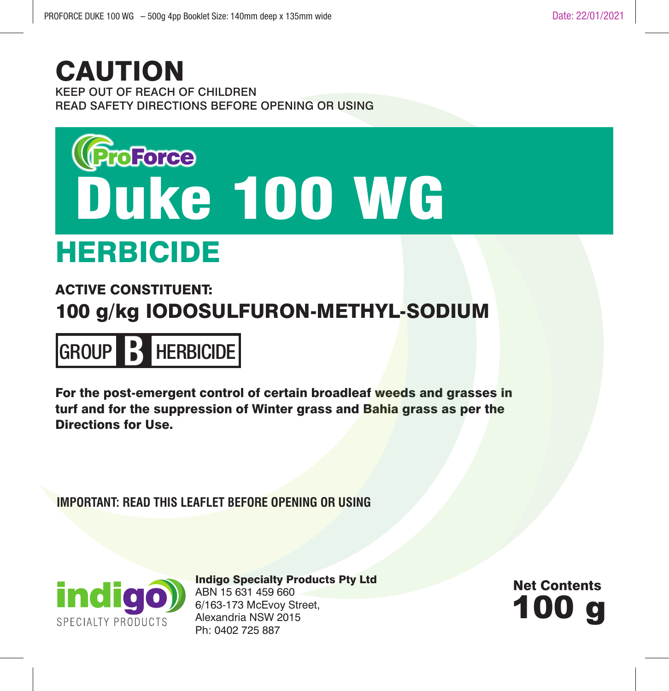# CAUTION

KEEP OUT OF REACH OF CHILDREN READ SAFETY DIRECTIONS BEFORE OPENING OR USING



# HERBICIDE

# ACTIVE CONSTITUENT: 100 g/kg IODOSULFURON-METHYL-SODIUM



For the post-emergent control of certain broadleaf weeds and grasses in turf and for the suppression of Winter grass and Bahia grass as per the Directions for Use.

**IMPORTANT: READ THIS LEAFLET BEFORE OPENING OR USING**



Indigo Specialty Products Pty Ltd ABN 15 631 459 660 6/163-173 McEvoy Street, Alexandria NSW 2015 Ph: 0402 725 887

100 g Net Contents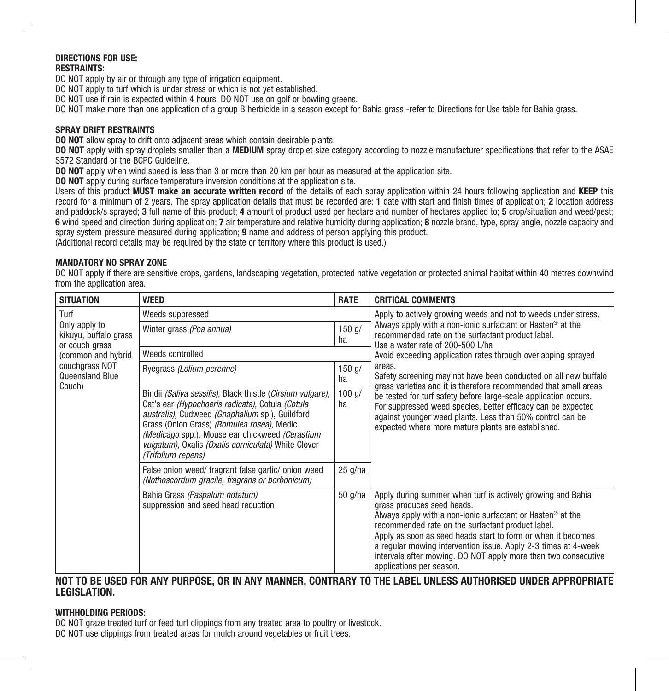# **DIRECTIONS FOR USE:**

# **RESTRAINTS:**

DO NOT apply by air or through any type of irrigation equipment.

DO NOT apply to turf which is under stress or which is not yet established.

DO NOT use if rain is expected within 4 hours. DO NOT use on golf or bowling greens.

DO NOT make more than one application of a group B herbicide in a season except for Bahia grass -refer to Directions for Use table for Bahia grass.

# **SPRAY DRIFT RESTRAINTS**

**DO NOT** allow spray to drift onto adjacent areas which contain desirable plants.

**DO NOT** apply with spray droplets smaller than a **MEDIUM** spray droplet size category according to nozzle manufacturer specifications that refer to the ASAE S572 Standard or the BCPC Guideline.

**DO NOT** apply when wind speed is less than 3 or more than 20 km per hour as measured at the application site.

**DO NOT** apply during surface temperature inversion conditions at the application site.

Users of this product **MUST make an accurate written record** of the details of each spray application within 24 hours following application and **KEEP** this record for a minimum of 2 years. The spray application details that must be recorded are: **1** date with start and finish times of application; **2** location address and paddock/s sprayed; **3** full name of this product; **4** amount of product used per hectare and number of hectares applied to; **5** crop/situation and weed/pest; **6** wind speed and direction during application; **7** air temperature and relative humidity during application; **8** nozzle brand, type, spray angle, nozzle capacity and spray system pressure measured during application; **9** name and address of person applying this product. (Additional record details may be required by the state or territory where this product is used.)

#### **MANDATORY NO SPRAY ZONE**

DO NOT apply if there are sensitive crops, gardens, landscaping vegetation, protected native vegetation or protected animal habitat within 40 metres downwind from the application area.

| <b>SITUATION</b>                                                                                                                       | <b>WEED</b>                                                                                                                                                                                                                                                                                                                                     | <b>RATE</b>      | <b>CRITICAL COMMENTS</b>                                                                                                                                                                                                                                                                                                                                                                                                                                 |
|----------------------------------------------------------------------------------------------------------------------------------------|-------------------------------------------------------------------------------------------------------------------------------------------------------------------------------------------------------------------------------------------------------------------------------------------------------------------------------------------------|------------------|----------------------------------------------------------------------------------------------------------------------------------------------------------------------------------------------------------------------------------------------------------------------------------------------------------------------------------------------------------------------------------------------------------------------------------------------------------|
| Turf<br>Only apply to<br>kikuyu, buffalo grass<br>or couch grass<br>(common and hybrid)<br>couchgrass NOT<br>Queensland Blue<br>Couch) | Weeds suppressed                                                                                                                                                                                                                                                                                                                                |                  | Apply to actively growing weeds and not to weeds under stress.                                                                                                                                                                                                                                                                                                                                                                                           |
|                                                                                                                                        | Winter grass (Poa annua)                                                                                                                                                                                                                                                                                                                        | $150$ $a/$<br>ha | Always apply with a non-ionic surfactant or Hasten <sup>®</sup> at the<br>recommended rate on the surfactant product label.<br>Use a water rate of 200-500 L/ha                                                                                                                                                                                                                                                                                          |
|                                                                                                                                        | Weeds controlled                                                                                                                                                                                                                                                                                                                                |                  | Avoid exceeding application rates through overlapping sprayed                                                                                                                                                                                                                                                                                                                                                                                            |
|                                                                                                                                        | Ryegrass (Lolium perenne)                                                                                                                                                                                                                                                                                                                       | $150$ g/<br>ha   | areas.<br>Safety screening may not have been conducted on all new buffalo<br>grass varieties and it is therefore recommended that small areas<br>be tested for turf safety before large-scale application occurs.<br>For suppressed weed species, better efficacy can be expected<br>against younger weed plants. Less than 50% control can be<br>expected where more mature plants are established.                                                     |
|                                                                                                                                        | Bindii (Saliva sessilis), Black thistle (Cirsium vulgare),<br>Cat's ear (Hypochoeris radicata), Cotula (Cotula<br>australis), Cudweed (Gnaphalium sp.), Guildford<br>Grass (Onion Grass) (Romulea rosea), Medic<br>(Medicago spp.), Mouse ear chickweed (Cerastium<br>vulgatum), Oxalis (Oxalis corniculata) White Clover<br>(Trifolium repens) | 100 q/<br>ha     |                                                                                                                                                                                                                                                                                                                                                                                                                                                          |
|                                                                                                                                        | False onion weed/ fragrant false garlic/ onion weed<br>(Nothoscordum gracile, fragrans or borbonicum)                                                                                                                                                                                                                                           | $25$ g/ha        |                                                                                                                                                                                                                                                                                                                                                                                                                                                          |
|                                                                                                                                        | Bahia Grass (Paspalum notatum)<br>suppression and seed head reduction                                                                                                                                                                                                                                                                           | 50 g/ha          | Apply during summer when turf is actively growing and Bahia<br>grass produces seed heads.<br>Always apply with a non-ionic surfactant or Hasten <sup>®</sup> at the<br>recommended rate on the surfactant product label.<br>Apply as soon as seed heads start to form or when it becomes<br>a regular mowing intervention issue. Apply 2-3 times at 4-week<br>intervals after mowing. DO NOT apply more than two consecutive<br>applications per season. |

# **NOT TO BE USED FOR ANY PURPOSE, OR IN ANY MANNER, CONTRARY TO THE LABEL UNLESS AUTHORISED UNDER APPROPRIATE LEGISLATION.**

## **WITHHOLDING PERIODS:**

DO NOT graze treated turf or feed turf clippings from any treated area to poultry or livestock. DO NOT use clippings from treated areas for mulch around vegetables or fruit trees.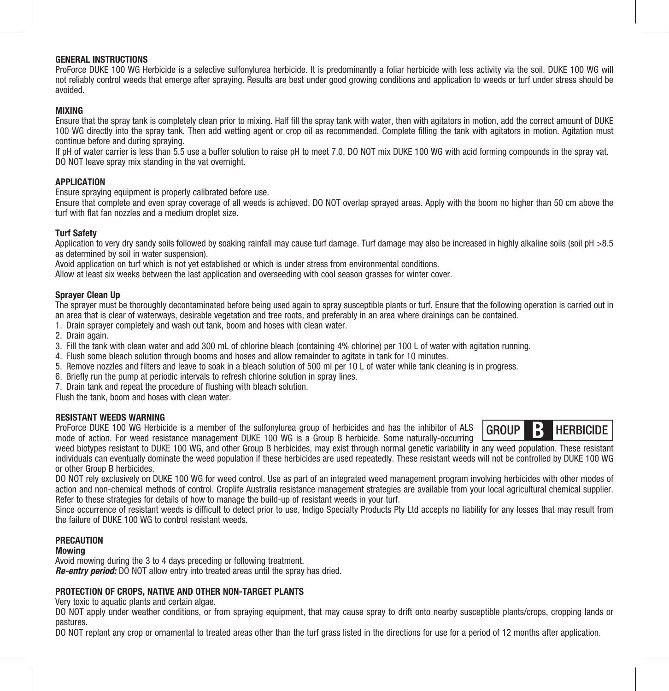# **GENERAL INSTRUCTIONS**

ProForce DUKE 100 WG Herbicide is a selective sulfonylurea herbicide. It is predominantly a foliar herbicide with less activity via the soil. DUKE 100 WG will not reliably control weeds that emerge after spraying. Results are best under good growing conditions and application to weeds or turf under stress should be avoided.

#### **MIXING**

Ensure that the spray tank is completely clean prior to mixing. Half fill the spray tank with water, then with agitators in motion, add the correct amount of DUKE 100 WG directly into the spray tank. Then add wetting agent or crop oil as recommended. Complete filling the tank with agitators in motion. Agitation must continue before and during spraying.

If pH of water carrier is less than 5.5 use a buffer solution to raise pH to meet 7.0. DO NOT mix DUKE 100 WG with acid forming compounds in the spray vat. DO NOT leave spray mix standing in the vat overnight.

# **APPLICATION**

Ensure spraying equipment is properly calibrated before use.

Ensure that complete and even spray coverage of all weeds is achieved. DO NOT overlap sprayed areas. Apply with the boom no higher than 50 cm above the turf with flat fan nozzles and a medium droplet size.

# **Turf Safety**

Application to very dry sandy soils followed by soaking rainfall may cause turf damage. Turf damage may also be increased in highly alkaline soils (soil pH >8.5) as determined by soil in water suspension).

Avoid application on turf which is not yet established or which is under stress from environmental conditions.

Allow at least six weeks between the last application and overseeding with cool season grasses for winter cover.

#### **Sprayer Clean Up**

The sprayer must be thoroughly decontaminated before being used again to spray susceptible plants or turf. Ensure that the following operation is carried out in an area that is clear of waterways, desirable vegetation and tree roots, and preferably in an area where drainings can be contained.

1. Drain sprayer completely and wash out tank, boom and hoses with clean water.

2. Drain again.

- 3. Fill the tank with clean water and add 300 mL of chlorine bleach (containing 4% chlorine) per 100 L of water with agitation running.
- 4. Flush some bleach solution through booms and hoses and allow remainder to agitate in tank for 10 minutes.
- 5. Remove nozzles and filters and leave to soak in a bleach solution of 500 ml per 10 L of water while tank cleaning is in progress.
- 6. Briefly run the pump at periodic intervals to refresh chlorine solution in spray lines.

7. Drain tank and repeat the procedure of flushing with bleach solution.

Flush the tank, boom and hoses with clean water.

# **RESISTANT WEEDS WARNING**

ProForce DUKE 100 WG Herbicide is a member of the sulfonylurea group of herbicides and has the inhibitor of ALS mode of action. For weed resistance management DUKE 100 WG is a Group B herbicide. Some naturally-occurring



weed biotypes resistant to DUKE 100 WG, and other Group B herbicides, may exist through normal genetic variability in any weed population. These resistant individuals can eventually dominate the weed population if these herbicides are used repeatedly. These resistant weeds will not be controlled by DUKE 100 WG or other Group B herbicides.

DO NOT rely exclusively on DUKE 100 WG for weed control. Use as part of an integrated weed management program involving herbicides with other modes of action and non-chemical methods of control. Croplife Australia resistance management strategies are available from your local agricultural chemical supplier. Refer to these strategies for details of how to manage the build-up of resistant weeds in your turf.

Since occurrence of resistant weeds is difficult to detect prior to use, Indigo Specialty Products Pty Ltd accepts no liability for any losses that may result from the failure of DUKE 100 WG to control resistant weeds.

# **PRECAUTION**

#### **Mowing**

Avoid mowing during the 3 to 4 days preceding or following treatment. *Re-entry period:* DO NOT allow entry into treated areas until the spray has dried.

# **PROTECTION OF CROPS, NATIVE AND OTHER NON-TARGET PLANTS**

Very toxic to aquatic plants and certain algae.

DO NOT apply under weather conditions, or from spraying equipment, that may cause spray to drift onto nearby susceptible plants/crops, cropping lands or pastures.

DO NOT replant any crop or ornamental to treated areas other than the turf grass listed in the directions for use for a period of 12 months after application.